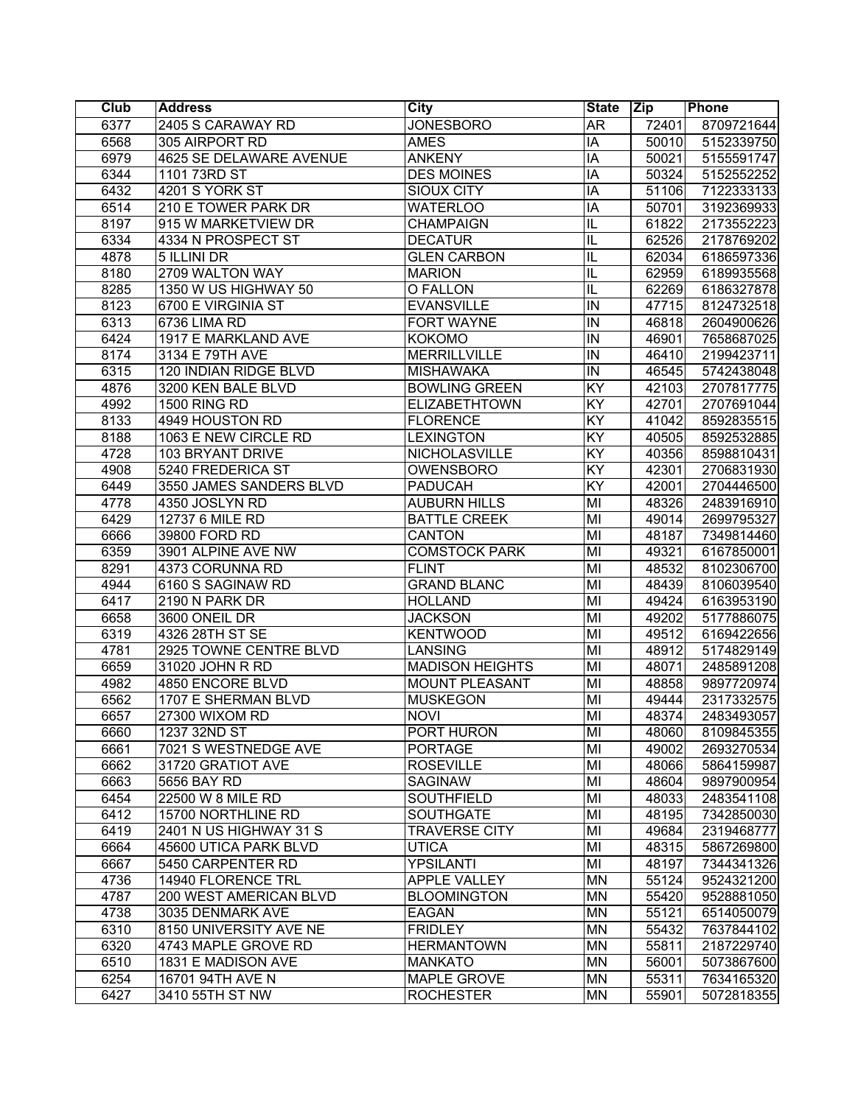| <b>Club</b> | <b>Address</b>          | <b>City</b>            | <b>State</b>            | Zip   | Phone      |
|-------------|-------------------------|------------------------|-------------------------|-------|------------|
| 6377        | 2405 S CARAWAY RD       | <b>JONESBORO</b>       | $\overline{AR}$         | 72401 | 8709721644 |
| 6568        | 305 AIRPORT RD          | <b>AMES</b>            | $\overline{IA}$         | 50010 | 5152339750 |
| 6979        | 4625 SE DELAWARE AVENUE | <b>ANKENY</b>          | $\overline{IA}$         | 50021 | 5155591747 |
| 6344        | 1101 73RD ST            | <b>DES MOINES</b>      | IA                      | 50324 | 5152552252 |
| 6432        | 4201 S YORK ST          | <b>SIOUX CITY</b>      | $\overline{IA}$         | 51106 | 7122333133 |
| 6514        | 210 E TOWER PARK DR     | <b>WATERLOO</b>        | IA                      | 50701 | 3192369933 |
| 8197        | 915 W MARKETVIEW DR     | <b>CHAMPAIGN</b>       | IL                      | 61822 | 2173552223 |
| 6334        | 4334 N PROSPECT ST      | <b>DECATUR</b>         | IL                      | 62526 | 2178769202 |
| 4878        | 5 ILLINI DR             | <b>GLEN CARBON</b>     | IL                      | 62034 | 6186597336 |
| 8180        | 2709 WALTON WAY         | <b>MARION</b>          | IL                      | 62959 | 6189935568 |
| 8285        | 1350 W US HIGHWAY 50    | O FALLON               | IL                      | 62269 | 6186327878 |
| 8123        | 6700 E VIRGINIA ST      | <b>EVANSVILLE</b>      | IN                      | 47715 | 8124732518 |
| 6313        | 6736 LIMA RD            | <b>FORT WAYNE</b>      | IN                      | 46818 | 2604900626 |
| 6424        | 1917 E MARKLAND AVE     | <b>KOKOMO</b>          | IN                      | 46901 | 7658687025 |
| 8174        | 3134 E 79TH AVE         | <b>MERRILLVILLE</b>    | $\overline{N}$          | 46410 | 2199423711 |
| 6315        | 120 INDIAN RIDGE BLVD   | <b>MISHAWAKA</b>       | IN                      | 46545 | 5742438048 |
| 4876        | 3200 KEN BALE BLVD      | <b>BOWLING GREEN</b>   | $\overline{KY}$         | 42103 | 2707817775 |
| 4992        | <b>1500 RING RD</b>     | <b>ELIZABETHTOWN</b>   | $\overline{KY}$         | 42701 | 2707691044 |
| 8133        | 4949 HOUSTON RD         | <b>FLORENCE</b>        | $\overline{KY}$         | 41042 | 8592835515 |
| 8188        | 1063 E NEW CIRCLE RD    | <b>LEXINGTON</b>       | $\overline{KY}$         | 40505 | 8592532885 |
| 4728        | 103 BRYANT DRIVE        | NICHOLASVILLE          | $\overline{KY}$         | 40356 | 8598810431 |
| 4908        | 5240 FREDERICA ST       | <b>OWENSBORO</b>       | $\overline{KY}$         | 42301 | 2706831930 |
| 6449        | 3550 JAMES SANDERS BLVD | <b>PADUCAH</b>         | $\overline{KY}$         | 42001 | 2704446500 |
| 4778        | 4350 JOSLYN RD          | <b>AUBURN HILLS</b>    | MI                      | 48326 | 2483916910 |
| 6429        | 12737 6 MILE RD         | <b>BATTLE CREEK</b>    | $\overline{M}$          | 49014 | 2699795327 |
| 6666        | 39800 FORD RD           | <b>CANTON</b>          | MI                      | 48187 | 7349814460 |
| 6359        | 3901 ALPINE AVE NW      | <b>COMSTOCK PARK</b>   | $\overline{M}$          | 49321 | 6167850001 |
| 8291        | 4373 CORUNNA RD         | <b>FLINT</b>           | M <sub>l</sub>          | 48532 | 8102306700 |
| 4944        | 6160 S SAGINAW RD       | <b>GRAND BLANC</b>     | $\overline{M}$          | 48439 | 8106039540 |
| 6417        | 2190 N PARK DR          | <b>HOLLAND</b>         | $\overline{\mathsf{M}}$ | 49424 | 6163953190 |
| 6658        | 3600 ONEIL DR           | <b>JACKSON</b>         | $\overline{\mathsf{M}}$ | 49202 | 5177886075 |
| 6319        | 4326 28TH ST SE         | <b>KENTWOOD</b>        | $\overline{\mathsf{M}}$ | 49512 | 6169422656 |
| 4781        | 2925 TOWNE CENTRE BLVD  | <b>LANSING</b>         | MI                      | 48912 | 5174829149 |
| 6659        | 31020 JOHN R RD         | <b>MADISON HEIGHTS</b> | MI                      | 48071 | 2485891208 |
| 4982        | 4850 ENCORE BLVD        | <b>MOUNT PLEASANT</b>  | MI                      | 48858 | 9897720974 |
| 6562        | 1707 E SHERMAN BLVD     | <b>MUSKEGON</b>        | MI                      | 49444 | 2317332575 |
| 6657        | 27300 WIXOM RD          | <b>NOVI</b>            | $\overline{M}$          | 48374 | 2483493057 |
| 6660        | 1237 32ND ST            | PORT HURON             | MI                      | 48060 | 8109845355 |
| 6661        | 7021 S WESTNEDGE AVE    | <b>PORTAGE</b>         | MI                      | 49002 | 2693270534 |
| 6662        | 31720 GRATIOT AVE       | <b>ROSEVILLE</b>       | MI                      | 48066 | 5864159987 |
| 6663        | 5656 BAY RD             | <b>SAGINAW</b>         | MI                      | 48604 | 9897900954 |
| 6454        | 22500 W 8 MILE RD       | <b>SOUTHFIELD</b>      | MI                      | 48033 | 2483541108 |
| 6412        | 15700 NORTHLINE RD      | <b>SOUTHGATE</b>       | $\overline{M}$          | 48195 | 7342850030 |
| 6419        | 2401 N US HIGHWAY 31 S  | <b>TRAVERSE CITY</b>   | $\overline{M}$          | 49684 | 2319468777 |
| 6664        | 45600 UTICA PARK BLVD   | <b>UTICA</b>           | M <sub>l</sub>          | 48315 | 5867269800 |
| 6667        | 5450 CARPENTER RD       | <b>YPSILANTI</b>       | $\overline{M}$          | 48197 | 7344341326 |
| 4736        | 14940 FLORENCE TRL      | <b>APPLE VALLEY</b>    | <b>MN</b>               | 55124 | 9524321200 |
| 4787        | 200 WEST AMERICAN BLVD  | <b>BLOOMINGTON</b>     | <b>MN</b>               | 55420 | 9528881050 |
| 4738        | 3035 DENMARK AVE        | <b>EAGAN</b>           | MN                      | 55121 | 6514050079 |
| 6310        | 8150 UNIVERSITY AVE NE  | <b>FRIDLEY</b>         | MN                      | 55432 | 7637844102 |
| 6320        | 4743 MAPLE GROVE RD     | <b>HERMANTOWN</b>      | MN                      | 55811 | 2187229740 |
| 6510        | 1831 E MADISON AVE      | <b>MANKATO</b>         | <b>MN</b>               | 56001 | 5073867600 |
| 6254        | 16701 94TH AVE N        | MAPLE GROVE            | <b>MN</b>               | 55311 | 7634165320 |
| 6427        | 3410 55TH ST NW         | <b>ROCHESTER</b>       | <b>MN</b>               | 55901 | 5072818355 |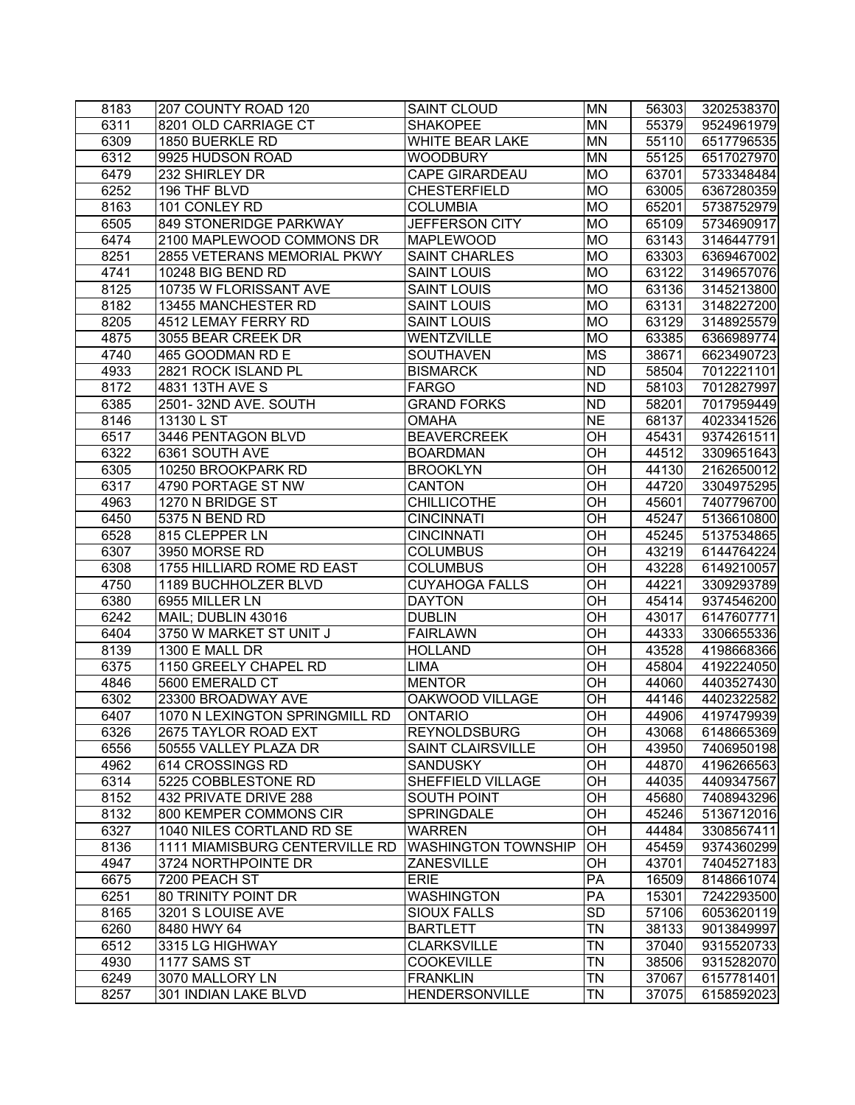| 8183         | 207 COUNTY ROAD 120                     | <b>SAINT CLOUD</b>           | <b>MN</b>              | 56303 | 3202538370               |
|--------------|-----------------------------------------|------------------------------|------------------------|-------|--------------------------|
| 6311         | 8201 OLD CARRIAGE CT                    | <b>SHAKOPEE</b>              | <b>MN</b>              | 55379 | 9524961979               |
| 6309         | 1850 BUERKLE RD                         | <b>WHITE BEAR LAKE</b>       | <b>MN</b>              | 55110 | 6517796535               |
| 6312         | 9925 HUDSON ROAD                        | <b>WOODBURY</b>              | <b>MN</b>              | 55125 | 6517027970               |
| 6479         | 232 SHIRLEY DR                          | <b>CAPE GIRARDEAU</b>        | <b>MO</b>              | 63701 | 5733348484               |
| 6252         | 196 THF BLVD                            | <b>CHESTERFIELD</b>          | <b>MO</b>              | 63005 | 6367280359               |
| 8163         | 101 CONLEY RD                           | <b>COLUMBIA</b>              | <b>MO</b>              | 65201 | 5738752979               |
| 6505         | 849 STONERIDGE PARKWAY                  | JEFFERSON CITY               | <b>MO</b>              | 65109 | 5734690917               |
| 6474         | 2100 MAPLEWOOD COMMONS DR               | <b>MAPLEWOOD</b>             | <b>MO</b>              | 63143 | 3146447791               |
| 8251         | 2855 VETERANS MEMORIAL PKWY             | <b>SAINT CHARLES</b>         | <b>MO</b>              | 63303 | 6369467002               |
| 4741         | 10248 BIG BEND RD                       | <b>SAINT LOUIS</b>           | <b>MO</b>              | 63122 | 3149657076               |
| 8125         | 10735 W FLORISSANT AVE                  | <b>SAINT LOUIS</b>           | <b>MO</b>              | 63136 | 3145213800               |
| 8182         | 13455 MANCHESTER RD                     | <b>SAINT LOUIS</b>           | <b>MO</b>              | 63131 | 3148227200               |
| 8205         | 4512 LEMAY FERRY RD                     | <b>SAINT LOUIS</b>           | <b>MO</b>              | 63129 | 3148925579               |
| 4875         | 3055 BEAR CREEK DR                      | WENTZVILLE                   | MO                     | 63385 | 6366989774               |
| 4740         | 465 GOODMAN RD E                        | <b>SOUTHAVEN</b>             | <b>MS</b>              | 38671 | 6623490723               |
| 4933         | 2821 ROCK ISLAND PL                     | <b>BISMARCK</b>              | <b>ND</b>              | 58504 | 7012221101               |
| 8172         | 4831 13TH AVE S                         | <b>FARGO</b>                 | <b>ND</b>              | 58103 | 7012827997               |
| 6385         | 2501-32ND AVE. SOUTH                    | <b>GRAND FORKS</b>           | <b>ND</b>              | 58201 | 7017959449               |
| 8146         | 13130 L ST                              | <b>OMAHA</b>                 | $\overline{NE}$        | 68137 | 4023341526               |
| 6517         | 3446 PENTAGON BLVD                      | <b>BEAVERCREEK</b>           | OH                     | 45431 | 9374261511               |
| 6322         | 6361 SOUTH AVE                          | <b>BOARDMAN</b>              |                        | 44512 | 3309651643               |
| 6305         | 10250 BROOKPARK RD                      | <b>BROOKLYN</b>              | $\overline{CH}$        | 44130 | 2162650012               |
| 6317         | 4790 PORTAGE ST NW                      | <b>CANTON</b>                |                        | 44720 | 3304975295               |
| 4963         | 1270 N BRIDGE ST                        | <b>CHILLICOTHE</b>           | $\overline{O}$ H       | 45601 | 7407796700               |
| 6450         | 5375 N BEND RD                          | <b>CINCINNATI</b>            | $\overline{O}$ H       | 45247 | 5136610800               |
| 6528         | 815 CLEPPER LN                          | <b>CINCINNATI</b>            |                        | 45245 | 5137534865               |
| 6307         | 3950 MORSE RD                           | <b>COLUMBUS</b>              |                        | 43219 | 6144764224               |
| 6308         | 1755 HILLIARD ROME RD EAST              | <b>COLUMBUS</b>              | $\overline{CH}$        | 43228 | 6149210057               |
| 4750         | 1189 BUCHHOLZER BLVD                    | <b>CUYAHOGA FALLS</b>        | $\overline{CH}$        | 44221 | 3309293789               |
| 6380         | 6955 MILLER LN                          | <b>DAYTON</b>                | $\overline{CH}$        | 45414 | 9374546200               |
| 6242         | MAIL; DUBLIN 43016                      | <b>DUBLIN</b>                | $\overline{CH}$        | 43017 | 6147607771               |
| 6404         | 3750 W MARKET ST UNIT J                 | <b>FAIRLAWN</b>              | $\overline{CH}$        | 44333 | 3306655336               |
|              |                                         |                              | $\overline{CH}$        |       |                          |
| 8139<br>6375 | 1300 E MALL DR<br>1150 GREELY CHAPEL RD | <b>HOLLAND</b>               | $\overline{CH}$        | 43528 | 4198668366<br>4192224050 |
|              |                                         | <b>LIMA</b><br><b>MENTOR</b> |                        | 45804 |                          |
| 4846         | 5600 EMERALD CT                         |                              | $\overline{CH}$        | 44060 | 4403527430               |
| 6302         | 23300 BROADWAY AVE                      | OAKWOOD VILLAGE              | OH                     | 44146 | 4402322582               |
| 6407         | 1070 N LEXINGTON SPRINGMILL RD          | <b>ONTARIO</b>               |                        | 44906 | 4197479939               |
| 6326         | 2675 TAYLOR ROAD EXT                    | <b>REYNOLDSBURG</b>          | OН                     | 43068 | 6148665369               |
| 6556         | 50555 VALLEY PLAZA DR                   | <b>SAINT CLAIRSVILLE</b>     | OH                     | 43950 | 7406950198               |
| 4962         | 614 CROSSINGS RD                        | <b>SANDUSKY</b>              | OH                     | 44870 | 4196266563               |
| 6314         | 5225 COBBLESTONE RD                     | SHEFFIELD VILLAGE            | OH                     | 44035 | 4409347567               |
| 8152         | 432 PRIVATE DRIVE 288                   | <b>SOUTH POINT</b>           | OH                     | 45680 | 7408943296               |
| 8132         | 800 KEMPER COMMONS CIR                  | <b>SPRINGDALE</b>            | OH                     | 45246 | 5136712016               |
| 6327         | 1040 NILES CORTLAND RD SE               | <b>WARREN</b>                | $\overline{CH}$        | 44484 | 3308567411               |
| 8136         | 1111 MIAMISBURG CENTERVILLE RD          | <b>WASHINGTON TOWNSHIP</b>   | OH                     | 45459 | 9374360299               |
| 4947         | 3724 NORTHPOINTE DR                     | <b>ZANESVILLE</b>            | OH                     | 43701 | 7404527183               |
| 6675         | 7200 PEACH ST                           | <b>ERIE</b>                  | $\overline{PA}$        | 16509 | 8148661074               |
| 6251         | 80 TRINITY POINT DR                     | <b>WASHINGTON</b>            | $\overline{PA}$        | 15301 | 7242293500               |
| 8165         | 3201 S LOUISE AVE                       | <b>SIOUX FALLS</b>           | $\overline{SD}$        | 57106 | 6053620119               |
| 6260         | 8480 HWY 64                             | <b>BARTLETT</b>              | $\overline{\text{TN}}$ | 38133 | 9013849997               |
| 6512         | 3315 LG HIGHWAY                         | <b>CLARKSVILLE</b>           | <b>TN</b>              | 37040 | 9315520733               |
| 4930         | 1177 SAMS ST                            | <b>COOKEVILLE</b>            | <b>TN</b>              | 38506 | 9315282070               |
| 6249         | 3070 MALLORY LN                         | <b>FRANKLIN</b>              | <b>TN</b>              | 37067 | 6157781401               |
| 8257         | 301 INDIAN LAKE BLVD                    | <b>HENDERSONVILLE</b>        | <b>TN</b>              | 37075 | 6158592023               |